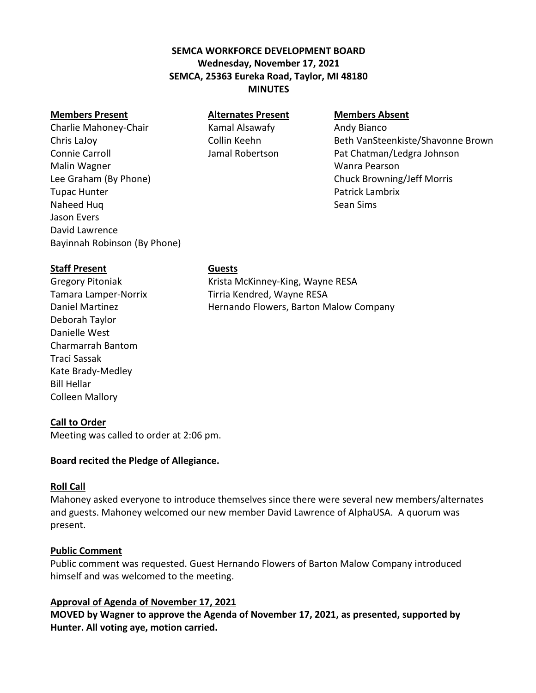# **SEMCA WORKFORCE DEVELOPMENT BOARD Wednesday, November 17, 2021 SEMCA, 25363 Eureka Road, Taylor, MI 48180 MINUTES**

#### **Members Present Alternates Present Members Absent**

Charlie Mahoney-Chair **Kamal Alsawafy** Andy Bianco Malin Wagner Wanra Pearson Lee Graham (By Phone) Chuck Browning/Jeff Morris **Tupac Hunter Community Community Community Community Community Community Community Community Community Community** Naheed Huq Sean Sims Jason Evers David Lawrence Bayinnah Robinson (By Phone)

Chris LaJoy Collin Keehn Beth VanSteenkiste/Shavonne Brown Connie Carroll Jamal Robertson Pat Chatman/Ledgra Johnson

## **Staff Present Guests**

Deborah Taylor Danielle West Charmarrah Bantom Traci Sassak Kate Brady-Medley Bill Hellar Colleen Mallory

Gregory Pitoniak Krista McKinney-King, Wayne RESA Tamara Lamper-Norrix Tirria Kendred, Wayne RESA Daniel Martinez Hernando Flowers, Barton Malow Company

## **Call to Order**

Meeting was called to order at 2:06 pm.

#### **Board recited the Pledge of Allegiance.**

#### **Roll Call**

Mahoney asked everyone to introduce themselves since there were several new members/alternates and guests. Mahoney welcomed our new member David Lawrence of AlphaUSA. A quorum was present.

#### **Public Comment**

Public comment was requested. Guest Hernando Flowers of Barton Malow Company introduced himself and was welcomed to the meeting.

## **Approval of Agenda of November 17, 2021**

**MOVED by Wagner to approve the Agenda of November 17, 2021, as presented, supported by Hunter. All voting aye, motion carried.**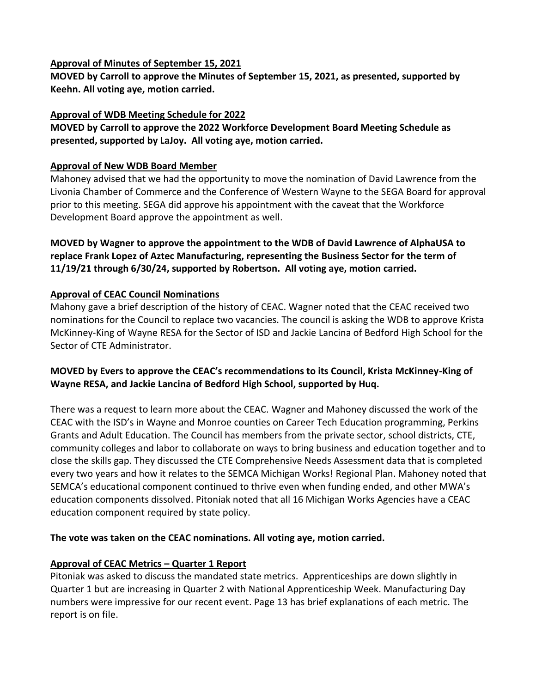#### **Approval of Minutes of September 15, 2021**

**MOVED by Carroll to approve the Minutes of September 15, 2021, as presented, supported by Keehn. All voting aye, motion carried.**

## **Approval of WDB Meeting Schedule for 2022**

**MOVED by Carroll to approve the 2022 Workforce Development Board Meeting Schedule as presented, supported by LaJoy. All voting aye, motion carried.**

## **Approval of New WDB Board Member**

Mahoney advised that we had the opportunity to move the nomination of David Lawrence from the Livonia Chamber of Commerce and the Conference of Western Wayne to the SEGA Board for approval prior to this meeting. SEGA did approve his appointment with the caveat that the Workforce Development Board approve the appointment as well.

## **MOVED by Wagner to approve the appointment to the WDB of David Lawrence of AlphaUSA to replace Frank Lopez of Aztec Manufacturing, representing the Business Sector for the term of 11/19/21 through 6/30/24, supported by Robertson. All voting aye, motion carried.**

# **Approval of CEAC Council Nominations**

Mahony gave a brief description of the history of CEAC. Wagner noted that the CEAC received two nominations for the Council to replace two vacancies. The council is asking the WDB to approve Krista McKinney-King of Wayne RESA for the Sector of ISD and Jackie Lancina of Bedford High School for the Sector of CTE Administrator.

## **MOVED by Evers to approve the CEAC's recommendations to its Council, Krista McKinney-King of Wayne RESA, and Jackie Lancina of Bedford High School, supported by Huq.**

There was a request to learn more about the CEAC. Wagner and Mahoney discussed the work of the CEAC with the ISD's in Wayne and Monroe counties on Career Tech Education programming, Perkins Grants and Adult Education. The Council has members from the private sector, school districts, CTE, community colleges and labor to collaborate on ways to bring business and education together and to close the skills gap. They discussed the CTE Comprehensive Needs Assessment data that is completed every two years and how it relates to the SEMCA Michigan Works! Regional Plan. Mahoney noted that SEMCA's educational component continued to thrive even when funding ended, and other MWA's education components dissolved. Pitoniak noted that all 16 Michigan Works Agencies have a CEAC education component required by state policy.

## **The vote was taken on the CEAC nominations. All voting aye, motion carried.**

## **Approval of CEAC Metrics – Quarter 1 Report**

Pitoniak was asked to discuss the mandated state metrics. Apprenticeships are down slightly in Quarter 1 but are increasing in Quarter 2 with National Apprenticeship Week. Manufacturing Day numbers were impressive for our recent event. Page 13 has brief explanations of each metric. The report is on file.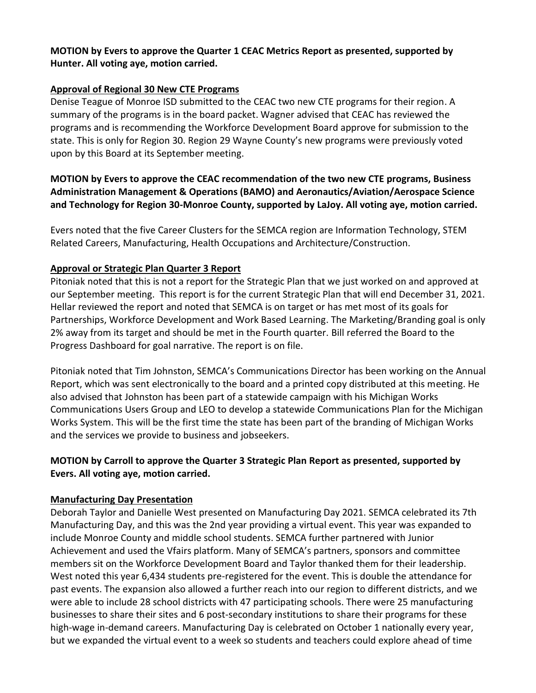## **MOTION by Evers to approve the Quarter 1 CEAC Metrics Report as presented, supported by Hunter. All voting aye, motion carried.**

## **Approval of Regional 30 New CTE Programs**

Denise Teague of Monroe ISD submitted to the CEAC two new CTE programs for their region. A summary of the programs is in the board packet. Wagner advised that CEAC has reviewed the programs and is recommending the Workforce Development Board approve for submission to the state. This is only for Region 30. Region 29 Wayne County's new programs were previously voted upon by this Board at its September meeting.

# **MOTION by Evers to approve the CEAC recommendation of the two new CTE programs, Business Administration Management & Operations (BAMO) and Aeronautics/Aviation/Aerospace Science and Technology for Region 30-Monroe County, supported by LaJoy. All voting aye, motion carried.**

Evers noted that the five Career Clusters for the SEMCA region are Information Technology, STEM Related Careers, Manufacturing, Health Occupations and Architecture/Construction.

# **Approval or Strategic Plan Quarter 3 Report**

Pitoniak noted that this is not a report for the Strategic Plan that we just worked on and approved at our September meeting. This report is for the current Strategic Plan that will end December 31, 2021. Hellar reviewed the report and noted that SEMCA is on target or has met most of its goals for Partnerships, Workforce Development and Work Based Learning. The Marketing/Branding goal is only 2% away from its target and should be met in the Fourth quarter. Bill referred the Board to the Progress Dashboard for goal narrative. The report is on file.

Pitoniak noted that Tim Johnston, SEMCA's Communications Director has been working on the Annual Report, which was sent electronically to the board and a printed copy distributed at this meeting. He also advised that Johnston has been part of a statewide campaign with his Michigan Works Communications Users Group and LEO to develop a statewide Communications Plan for the Michigan Works System. This will be the first time the state has been part of the branding of Michigan Works and the services we provide to business and jobseekers.

# **MOTION by Carroll to approve the Quarter 3 Strategic Plan Report as presented, supported by Evers. All voting aye, motion carried.**

## **Manufacturing Day Presentation**

Deborah Taylor and Danielle West presented on Manufacturing Day 2021. SEMCA celebrated its 7th Manufacturing Day, and this was the 2nd year providing a virtual event. This year was expanded to include Monroe County and middle school students. SEMCA further partnered with Junior Achievement and used the Vfairs platform. Many of SEMCA's partners, sponsors and committee members sit on the Workforce Development Board and Taylor thanked them for their leadership. West noted this year 6,434 students pre-registered for the event. This is double the attendance for past events. The expansion also allowed a further reach into our region to different districts, and we were able to include 28 school districts with 47 participating schools. There were 25 manufacturing businesses to share their sites and 6 post-secondary institutions to share their programs for these high-wage in-demand careers. Manufacturing Day is celebrated on October 1 nationally every year, but we expanded the virtual event to a week so students and teachers could explore ahead of time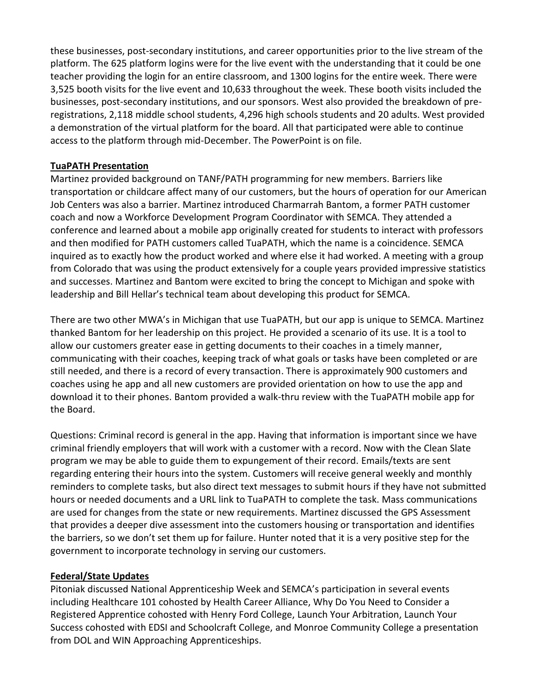these businesses, post-secondary institutions, and career opportunities prior to the live stream of the platform. The 625 platform logins were for the live event with the understanding that it could be one teacher providing the login for an entire classroom, and 1300 logins for the entire week. There were 3,525 booth visits for the live event and 10,633 throughout the week. These booth visits included the businesses, post-secondary institutions, and our sponsors. West also provided the breakdown of preregistrations, 2,118 middle school students, 4,296 high schools students and 20 adults. West provided a demonstration of the virtual platform for the board. All that participated were able to continue access to the platform through mid-December. The PowerPoint is on file.

## **TuaPATH Presentation**

Martinez provided background on TANF/PATH programming for new members. Barriers like transportation or childcare affect many of our customers, but the hours of operation for our American Job Centers was also a barrier. Martinez introduced Charmarrah Bantom, a former PATH customer coach and now a Workforce Development Program Coordinator with SEMCA. They attended a conference and learned about a mobile app originally created for students to interact with professors and then modified for PATH customers called TuaPATH, which the name is a coincidence. SEMCA inquired as to exactly how the product worked and where else it had worked. A meeting with a group from Colorado that was using the product extensively for a couple years provided impressive statistics and successes. Martinez and Bantom were excited to bring the concept to Michigan and spoke with leadership and Bill Hellar's technical team about developing this product for SEMCA.

There are two other MWA's in Michigan that use TuaPATH, but our app is unique to SEMCA. Martinez thanked Bantom for her leadership on this project. He provided a scenario of its use. It is a tool to allow our customers greater ease in getting documents to their coaches in a timely manner, communicating with their coaches, keeping track of what goals or tasks have been completed or are still needed, and there is a record of every transaction. There is approximately 900 customers and coaches using he app and all new customers are provided orientation on how to use the app and download it to their phones. Bantom provided a walk-thru review with the TuaPATH mobile app for the Board.

Questions: Criminal record is general in the app. Having that information is important since we have criminal friendly employers that will work with a customer with a record. Now with the Clean Slate program we may be able to guide them to expungement of their record. Emails/texts are sent regarding entering their hours into the system. Customers will receive general weekly and monthly reminders to complete tasks, but also direct text messages to submit hours if they have not submitted hours or needed documents and a URL link to TuaPATH to complete the task. Mass communications are used for changes from the state or new requirements. Martinez discussed the GPS Assessment that provides a deeper dive assessment into the customers housing or transportation and identifies the barriers, so we don't set them up for failure. Hunter noted that it is a very positive step for the government to incorporate technology in serving our customers.

## **Federal/State Updates**

Pitoniak discussed National Apprenticeship Week and SEMCA's participation in several events including Healthcare 101 cohosted by Health Career Alliance, Why Do You Need to Consider a Registered Apprentice cohosted with Henry Ford College, Launch Your Arbitration, Launch Your Success cohosted with EDSI and Schoolcraft College, and Monroe Community College a presentation from DOL and WIN Approaching Apprenticeships.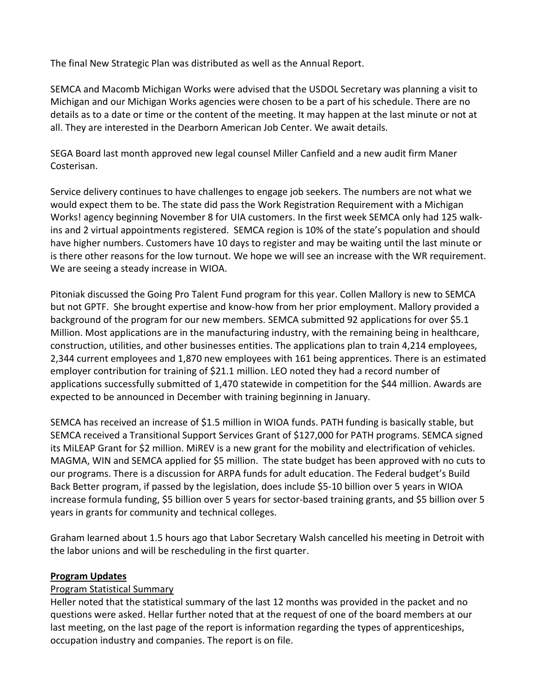The final New Strategic Plan was distributed as well as the Annual Report.

SEMCA and Macomb Michigan Works were advised that the USDOL Secretary was planning a visit to Michigan and our Michigan Works agencies were chosen to be a part of his schedule. There are no details as to a date or time or the content of the meeting. It may happen at the last minute or not at all. They are interested in the Dearborn American Job Center. We await details.

SEGA Board last month approved new legal counsel Miller Canfield and a new audit firm Maner Costerisan.

Service delivery continues to have challenges to engage job seekers. The numbers are not what we would expect them to be. The state did pass the Work Registration Requirement with a Michigan Works! agency beginning November 8 for UIA customers. In the first week SEMCA only had 125 walkins and 2 virtual appointments registered. SEMCA region is 10% of the state's population and should have higher numbers. Customers have 10 days to register and may be waiting until the last minute or is there other reasons for the low turnout. We hope we will see an increase with the WR requirement. We are seeing a steady increase in WIOA.

Pitoniak discussed the Going Pro Talent Fund program for this year. Collen Mallory is new to SEMCA but not GPTF. She brought expertise and know-how from her prior employment. Mallory provided a background of the program for our new members. SEMCA submitted 92 applications for over \$5.1 Million. Most applications are in the manufacturing industry, with the remaining being in healthcare, construction, utilities, and other businesses entities. The applications plan to train 4,214 employees, 2,344 current employees and 1,870 new employees with 161 being apprentices. There is an estimated employer contribution for training of \$21.1 million. LEO noted they had a record number of applications successfully submitted of 1,470 statewide in competition for the \$44 million. Awards are expected to be announced in December with training beginning in January.

SEMCA has received an increase of \$1.5 million in WIOA funds. PATH funding is basically stable, but SEMCA received a Transitional Support Services Grant of \$127,000 for PATH programs. SEMCA signed its MiLEAP Grant for \$2 million. MiREV is a new grant for the mobility and electrification of vehicles. MAGMA, WIN and SEMCA applied for \$5 million. The state budget has been approved with no cuts to our programs. There is a discussion for ARPA funds for adult education. The Federal budget's Build Back Better program, if passed by the legislation, does include \$5-10 billion over 5 years in WIOA increase formula funding, \$5 billion over 5 years for sector-based training grants, and \$5 billion over 5 years in grants for community and technical colleges.

Graham learned about 1.5 hours ago that Labor Secretary Walsh cancelled his meeting in Detroit with the labor unions and will be rescheduling in the first quarter.

## **Program Updates**

## Program Statistical Summary

Heller noted that the statistical summary of the last 12 months was provided in the packet and no questions were asked. Hellar further noted that at the request of one of the board members at our last meeting, on the last page of the report is information regarding the types of apprenticeships, occupation industry and companies. The report is on file.